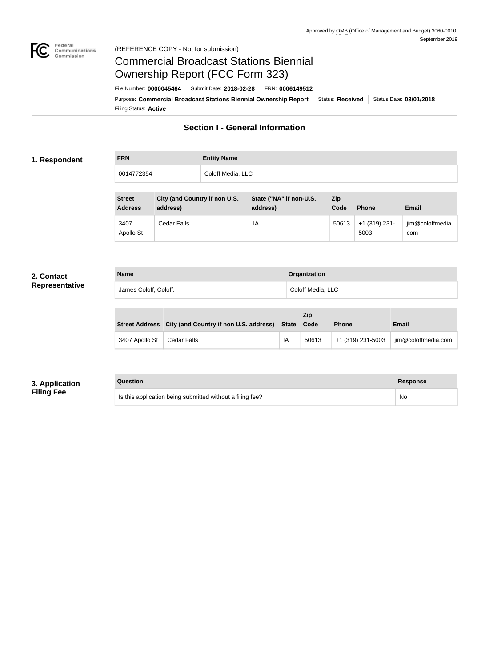

#### Federal<br>Communications<br>Commission (REFERENCE COPY - Not for submission)

# Commercial Broadcast Stations Biennial Ownership Report (FCC Form 323)

Filing Status: **Active** Purpose: Commercial Broadcast Stations Biennial Ownership Report Status: Received Status Date: 03/01/2018 File Number: **0000045464** Submit Date: **2018-02-28** FRN: **0006149512**

## **Section I - General Information**

#### **1. Respondent**

| <b>FRN</b> | <b>Entity Name</b> |
|------------|--------------------|
| 0014772354 | Coloff Media, LLC  |

| <b>Street</b><br><b>Address</b> | City (and Country if non U.S.<br>address) | State ("NA" if non-U.S.<br>address) | Zip<br>Code | <b>Phone</b>          | Email                   |
|---------------------------------|-------------------------------------------|-------------------------------------|-------------|-----------------------|-------------------------|
| 3407<br>Apollo St               | Cedar Falls                               | IA                                  | 50613       | +1 (319) 231-<br>5003 | jim@coloffmedia.<br>com |

#### **2. Contact Representat**

|  | tive<br>James Coloff, Coloff. | Coloff Media, LLC |
|--|-------------------------------|-------------------|
|--|-------------------------------|-------------------|

**Name Organization**

|                | Street Address City (and Country if non U.S. address) State Code |    | <b>Zip</b> | <b>Phone</b>        | <b>Email</b>        |
|----------------|------------------------------------------------------------------|----|------------|---------------------|---------------------|
| 3407 Apollo St | Cedar Falls                                                      | IA | 50613      | $+1$ (319) 231-5003 | jim@coloffmedia.com |

## **3. Application Filing Fee**

#### **Question Response**

Is this application being submitted without a filing fee? No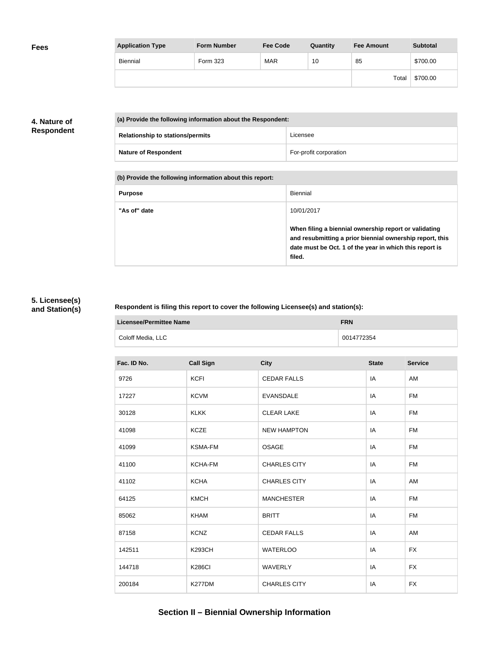| <b>Fees</b> | <b>Application Type</b> | <b>Form Number</b> | <b>Fee Code</b> | Quantity | <b>Fee Amount</b> | <b>Subtotal</b> |
|-------------|-------------------------|--------------------|-----------------|----------|-------------------|-----------------|
|             | Biennial                | Form 323           | <b>MAR</b>      | 10       | 85                | \$700.00        |
|             |                         |                    |                 |          | Total             | \$700.00        |

## **4. Nature of Respondent**

| (a) Provide the following information about the Respondent: |                        |  |
|-------------------------------------------------------------|------------------------|--|
| <b>Relationship to stations/permits</b>                     | Licensee               |  |
| <b>Nature of Respondent</b>                                 | For-profit corporation |  |

**(b) Provide the following information about this report:**

| <b>Purpose</b> | Biennial                                                                                                                                                                               |
|----------------|----------------------------------------------------------------------------------------------------------------------------------------------------------------------------------------|
| "As of" date   | 10/01/2017                                                                                                                                                                             |
|                | When filing a biennial ownership report or validating<br>and resubmitting a prior biennial ownership report, this<br>date must be Oct. 1 of the year in which this report is<br>filed. |

## **5. Licensee(s) and Station(s)**

#### **Respondent is filing this report to cover the following Licensee(s) and station(s):**

| Licensee/Permittee Name | <b>FRN</b> |
|-------------------------|------------|
| Coloff Media, LLC       | 0014772354 |

| Fac. ID No. | <b>Call Sign</b> | <b>City</b>         | <b>State</b> | <b>Service</b> |
|-------------|------------------|---------------------|--------------|----------------|
| 9726        | <b>KCFI</b>      | <b>CEDAR FALLS</b>  | IA           | AM             |
| 17227       | <b>KCVM</b>      | <b>EVANSDALE</b>    | IA           | <b>FM</b>      |
| 30128       | <b>KLKK</b>      | <b>CLEAR LAKE</b>   | IA           | <b>FM</b>      |
| 41098       | <b>KCZE</b>      | <b>NEW HAMPTON</b>  | IA           | <b>FM</b>      |
| 41099       | <b>KSMA-FM</b>   | <b>OSAGE</b>        | IA           | <b>FM</b>      |
| 41100       | <b>KCHA-FM</b>   | <b>CHARLES CITY</b> | IA           | <b>FM</b>      |
| 41102       | <b>KCHA</b>      | <b>CHARLES CITY</b> | IA           | AM             |
| 64125       | <b>KMCH</b>      | <b>MANCHESTER</b>   | IA           | <b>FM</b>      |
| 85062       | <b>KHAM</b>      | <b>BRITT</b>        | IA           | <b>FM</b>      |
| 87158       | <b>KCNZ</b>      | <b>CEDAR FALLS</b>  | IA           | AM             |
| 142511      | <b>K293CH</b>    | <b>WATERLOO</b>     | IA           | <b>FX</b>      |
| 144718      | <b>K286CI</b>    | <b>WAVERLY</b>      | IA           | <b>FX</b>      |
| 200184      | K277DM           | <b>CHARLES CITY</b> | IA           | <b>FX</b>      |
|             |                  |                     |              |                |

# **Section II – Biennial Ownership Information**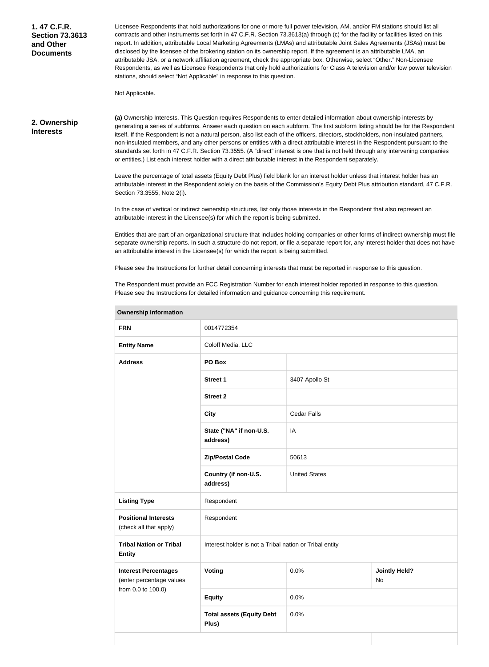**1. 47 C.F.R. Section 73.3613 and Other Documents**

Licensee Respondents that hold authorizations for one or more full power television, AM, and/or FM stations should list all contracts and other instruments set forth in 47 C.F.R. Section 73.3613(a) through (c) for the facility or facilities listed on this report. In addition, attributable Local Marketing Agreements (LMAs) and attributable Joint Sales Agreements (JSAs) must be disclosed by the licensee of the brokering station on its ownership report. If the agreement is an attributable LMA, an attributable JSA, or a network affiliation agreement, check the appropriate box. Otherwise, select "Other." Non-Licensee Respondents, as well as Licensee Respondents that only hold authorizations for Class A television and/or low power television stations, should select "Not Applicable" in response to this question.

Not Applicable.

#### **2. Ownership Interests**

**(a)** Ownership Interests. This Question requires Respondents to enter detailed information about ownership interests by generating a series of subforms. Answer each question on each subform. The first subform listing should be for the Respondent itself. If the Respondent is not a natural person, also list each of the officers, directors, stockholders, non-insulated partners, non-insulated members, and any other persons or entities with a direct attributable interest in the Respondent pursuant to the standards set forth in 47 C.F.R. Section 73.3555. (A "direct" interest is one that is not held through any intervening companies or entities.) List each interest holder with a direct attributable interest in the Respondent separately.

Leave the percentage of total assets (Equity Debt Plus) field blank for an interest holder unless that interest holder has an attributable interest in the Respondent solely on the basis of the Commission's Equity Debt Plus attribution standard, 47 C.F.R. Section 73.3555, Note 2(i).

In the case of vertical or indirect ownership structures, list only those interests in the Respondent that also represent an attributable interest in the Licensee(s) for which the report is being submitted.

Entities that are part of an organizational structure that includes holding companies or other forms of indirect ownership must file separate ownership reports. In such a structure do not report, or file a separate report for, any interest holder that does not have an attributable interest in the Licensee(s) for which the report is being submitted.

Please see the Instructions for further detail concerning interests that must be reported in response to this question.

The Respondent must provide an FCC Registration Number for each interest holder reported in response to this question. Please see the Instructions for detailed information and guidance concerning this requirement.

| <b>Ownership Information</b>                                      |                                                         |                      |                            |  |
|-------------------------------------------------------------------|---------------------------------------------------------|----------------------|----------------------------|--|
| <b>FRN</b>                                                        | 0014772354                                              |                      |                            |  |
| <b>Entity Name</b>                                                | Coloff Media, LLC                                       |                      |                            |  |
| <b>Address</b>                                                    | PO Box                                                  |                      |                            |  |
|                                                                   | <b>Street 1</b>                                         | 3407 Apollo St       |                            |  |
|                                                                   | <b>Street 2</b>                                         |                      |                            |  |
|                                                                   | <b>City</b>                                             | <b>Cedar Falls</b>   |                            |  |
|                                                                   | State ("NA" if non-U.S.<br>address)                     | IA                   |                            |  |
|                                                                   | <b>Zip/Postal Code</b>                                  | 50613                |                            |  |
|                                                                   | Country (if non-U.S.<br>address)                        | <b>United States</b> |                            |  |
| <b>Listing Type</b>                                               | Respondent                                              |                      |                            |  |
| <b>Positional Interests</b><br>(check all that apply)             | Respondent                                              |                      |                            |  |
| <b>Tribal Nation or Tribal</b><br><b>Entity</b>                   | Interest holder is not a Tribal nation or Tribal entity |                      |                            |  |
| <b>Interest Percentages</b><br>Voting<br>(enter percentage values |                                                         | 0.0%                 | <b>Jointly Held?</b><br>No |  |
| from 0.0 to 100.0)                                                | <b>Equity</b>                                           | 0.0%                 |                            |  |
|                                                                   | <b>Total assets (Equity Debt</b><br>Plus)               | 0.0%                 |                            |  |
|                                                                   |                                                         |                      |                            |  |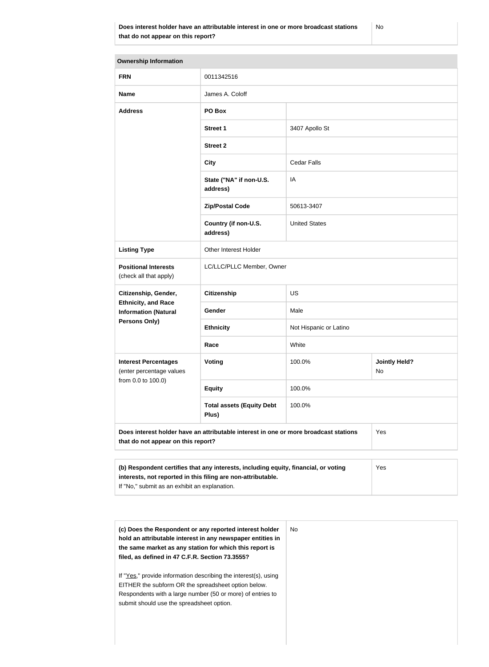| <b>Ownership Information</b>                                 |                                                                                      |                        |                            |  |
|--------------------------------------------------------------|--------------------------------------------------------------------------------------|------------------------|----------------------------|--|
| <b>FRN</b>                                                   | 0011342516                                                                           |                        |                            |  |
| <b>Name</b>                                                  | James A. Coloff                                                                      |                        |                            |  |
| <b>Address</b>                                               | PO Box                                                                               |                        |                            |  |
|                                                              | <b>Street 1</b>                                                                      | 3407 Apollo St         |                            |  |
|                                                              | <b>Street 2</b>                                                                      |                        |                            |  |
|                                                              | <b>City</b>                                                                          | <b>Cedar Falls</b>     |                            |  |
|                                                              | State ("NA" if non-U.S.<br>address)                                                  | IA                     |                            |  |
|                                                              | <b>Zip/Postal Code</b>                                                               | 50613-3407             |                            |  |
|                                                              | Country (if non-U.S.<br>address)                                                     | <b>United States</b>   |                            |  |
| <b>Listing Type</b>                                          | Other Interest Holder                                                                |                        |                            |  |
| <b>Positional Interests</b><br>(check all that apply)        | LC/LLC/PLLC Member, Owner                                                            |                        |                            |  |
| Citizenship, Gender,                                         | <b>Citizenship</b>                                                                   | <b>US</b>              |                            |  |
| <b>Ethnicity, and Race</b><br><b>Information (Natural</b>    | Gender                                                                               | Male                   |                            |  |
| <b>Persons Only)</b>                                         | <b>Ethnicity</b>                                                                     | Not Hispanic or Latino |                            |  |
|                                                              | Race                                                                                 | White                  |                            |  |
| <b>Interest Percentages</b><br>(enter percentage values      | Voting                                                                               | 100.0%                 | <b>Jointly Held?</b><br>No |  |
| from 0.0 to 100.0)                                           | <b>Equity</b>                                                                        | 100.0%                 |                            |  |
|                                                              | <b>Total assets (Equity Debt</b><br>Plus)                                            | 100.0%                 |                            |  |
| that do not appear on this report?                           | Does interest holder have an attributable interest in one or more broadcast stations |                        | Yes                        |  |
|                                                              |                                                                                      |                        |                            |  |
| interests, not reported in this filing are non-attributable. | (b) Respondent certifies that any interests, including equity, financial, or voting  |                        | Yes                        |  |

If "No," submit as an exhibit an explanation.

| (c) Does the Respondent or any reported interest holder<br>hold an attributable interest in any newspaper entities in<br>the same market as any station for which this report is<br>filed, as defined in 47 C.F.R. Section 73.3555? | No. |
|-------------------------------------------------------------------------------------------------------------------------------------------------------------------------------------------------------------------------------------|-----|
| If "Yes," provide information describing the interest(s), using<br>EITHER the subform OR the spreadsheet option below.<br>Respondents with a large number (50 or more) of entries to<br>submit should use the spreadsheet option.   |     |
|                                                                                                                                                                                                                                     |     |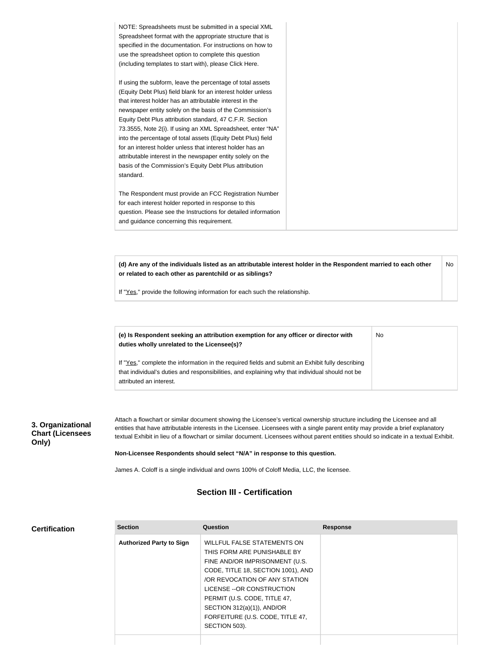| NOTE: Spreadsheets must be submitted in a special XML<br>Spreadsheet format with the appropriate structure that is<br>specified in the documentation. For instructions on how to<br>use the spreadsheet option to complete this question<br>(including templates to start with), please Click Here.                                                                                                                                                                                                                                                                                                                                              |
|--------------------------------------------------------------------------------------------------------------------------------------------------------------------------------------------------------------------------------------------------------------------------------------------------------------------------------------------------------------------------------------------------------------------------------------------------------------------------------------------------------------------------------------------------------------------------------------------------------------------------------------------------|
| If using the subform, leave the percentage of total assets<br>(Equity Debt Plus) field blank for an interest holder unless<br>that interest holder has an attributable interest in the<br>newspaper entity solely on the basis of the Commission's<br>Equity Debt Plus attribution standard, 47 C.F.R. Section<br>73.3555, Note 2(i). If using an XML Spreadsheet, enter "NA"<br>into the percentage of total assets (Equity Debt Plus) field<br>for an interest holder unless that interest holder has an<br>attributable interest in the newspaper entity solely on the<br>basis of the Commission's Equity Debt Plus attribution<br>standard. |
| The Respondent must provide an FCC Registration Number<br>for each interest holder reported in response to this<br>question. Please see the Instructions for detailed information<br>and guidance concerning this requirement.                                                                                                                                                                                                                                                                                                                                                                                                                   |

**(d) Are any of the individuals listed as an attributable interest holder in the Respondent married to each other or related to each other as parentchild or as siblings?** No

No

If "Yes," provide the following information for each such the relationship.

**(e) Is Respondent seeking an attribution exemption for any officer or director with duties wholly unrelated to the Licensee(s)?**

If "Yes," complete the information in the required fields and submit an Exhibit fully describing that individual's duties and responsibilities, and explaining why that individual should not be attributed an interest.

#### **3. Organizational Chart (Licensees Only)**

Attach a flowchart or similar document showing the Licensee's vertical ownership structure including the Licensee and all entities that have attributable interests in the Licensee. Licensees with a single parent entity may provide a brief explanatory textual Exhibit in lieu of a flowchart or similar document. Licensees without parent entities should so indicate in a textual Exhibit.

**Non-Licensee Respondents should select "N/A" in response to this question.**

James A. Coloff is a single individual and owns 100% of Coloff Media, LLC, the licensee.

# **Section III - Certification**

| <b>Certification</b> |  |
|----------------------|--|
|----------------------|--|

| <b>Section</b>                  | Question                                                                                                                                                                                                                                                       | <b>Response</b> |
|---------------------------------|----------------------------------------------------------------------------------------------------------------------------------------------------------------------------------------------------------------------------------------------------------------|-----------------|
| <b>Authorized Party to Sign</b> | WILLFUL FALSE STATEMENTS ON<br>THIS FORM ARE PUNISHABLE BY<br>FINE AND/OR IMPRISONMENT (U.S.<br>CODE, TITLE 18, SECTION 1001), AND<br>OR REVOCATION OF ANY STATION<br>LICENSE -- OR CONSTRUCTION<br>PERMIT (U.S. CODE, TITLE 47,<br>SECTION 312(a)(1)), AND/OR |                 |
|                                 | FORFEITURE (U.S. CODE, TITLE 47,<br>SECTION 503).                                                                                                                                                                                                              |                 |